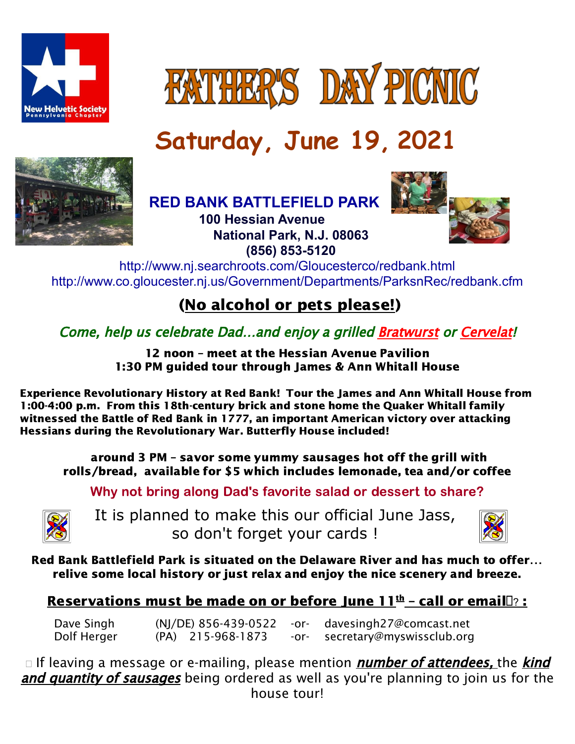



# **Saturday, June 19, 2021**



**RED BANK [BATTLEFIELD](http://www.co.gloucester.nj.us/Pdf/parks/redbank.pdf) PARK**



**100 Hessian Avenue National Park, N.J. 08063 (856) 853-5120**

<http://www.nj.searchroots.com/Gloucesterco/redbank.html> <http://www.co.gloucester.nj.us/Government/Departments/ParksnRec/redbank.cfm>

## (No alcohol or pets please!)

Come, help us celebrate Dad…and enjoy <sup>a</sup> grilled Bratwurst or Cervelat!

12 noon – meet at the Hessian Avenue Pavilion 1:30 PM guided tour through James & Ann Whitall House

Experience Revolutionary History at Red Bank! Tour the James and Ann Whitall House from 1:00-4:00 p.m. From this 18th-century brick and stone home the Quaker Whitall family witnessed the Battle of Red Bank in 1777, an important American victory over attacking Hessians during the Revolutionary War. Butterfly House included!

around 3 PM – savor some yummy sausages hot off the grill with rolls/bread, available for \$5 which includes lemonade, tea and/or coffee

Why not bring along Dad's favorite salad or dessert to share?



It is planned to make this our official June Jass, so don't forget your cards !



Red Bank Battlefield Park is situated on the Delaware River and has much to offer… relive some local history or just relax and enjoy the nice scenery and breeze.

## Reservations must be made on or before June 11<sup>th</sup> – call or email**D**? :

Dave Singh (NJ/DE) 856-439-0522 -or- davesingh27@comcast.net Dolf Herger (PA) 215-968-1873 -or- secretary@myswissclub.org

 $\Box$  If leaving a message or e-mailing, please mention *number of attendees*, the *kind* and quantity of sausages being ordered as well as you're planning to join us for the house tour!